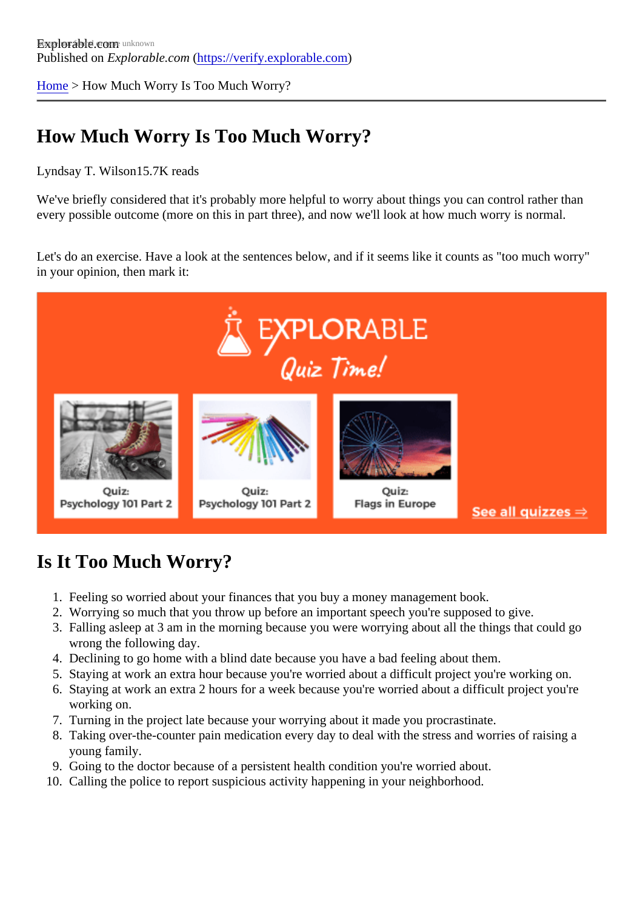[Home](https://verify.explorable.com/) > How Much Worry Is Too Much Worry?

## How Much Worry Is Too Much Worry?

## Lyndsay T. Wilson 5.7K reads

We've briefly considered that it's probably more helpful to worry about things you can control rather than every possible outcome (more on this in part three), and now we'll look at how much worry is normal.

Let's do an exercise. Have a look at the sentences below, and if it seems like it counts as "too much worry" in your opinion, then mark it:

## Is It Too Much Worry?

- 1. Feeling so worried about your finances that you buy a money management book.
- 2. Worrying so much that you throw up before an important speech you're supposed to give.
- 3. Falling asleep at 3 am in the morning because you were worrying about all the things that could go wrong the following day.
- 4. Declining to go home with a blind date because you have a bad feeling about them.
- 5. Staying at work an extra hour because you're worried about a difficult project you're working on.
- 6. Staying at work an extra 2 hours for a week because you're worried about a difficult project you're working on.
- 7. Turning in the project late because your worrying about it made you procrastinate.
- 8. Taking over-the-counter pain medication every day to deal with the stress and worries of raising a young family.
- 9. Going to the doctor because of a persistent health condition you're worried about.
- 10. Calling the police to report suspicious activity happening in your neighborhood.